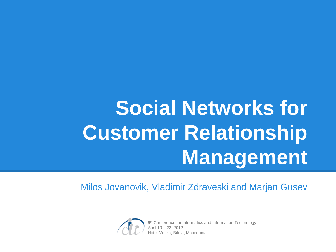# **Social Networks for Customer Relationship Management**

Milos Jovanovik, Vladimir Zdraveski and Marjan Gusev



9<sup>th</sup> Conference for Informatics and Information Technology April 19 – 22, 2012 Hotel Molika, Bitola, Macedonia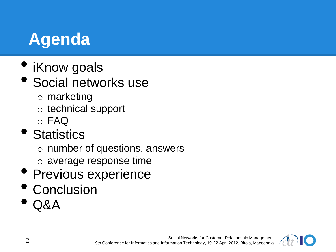# **Agenda**

- iKnow goals
- Social networks use
	- o marketing
	- o technical support
	- o FAQ
- Statistics
	- o number of questions, answers
	- o average response time
- Previous experience
- Conclusion
- Q&A

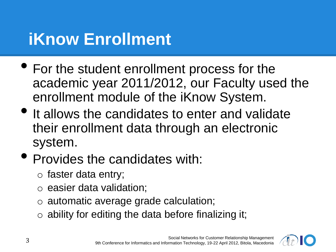# **iKnow Enrollment**

- For the student enrollment process for the academic year 2011/2012, our Faculty used the enrollment module of the iKnow System.
- It allows the candidates to enter and validate their enrollment data through an electronic system.
- Provides the candidates with:
	- o faster data entry;
	- o easier data validation;
	- o automatic average grade calculation;
	- $\circ$  ability for editing the data before finalizing it;

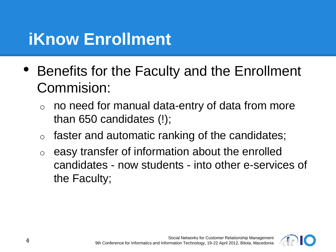# **iKnow Enrollment**

- Benefits for the Faculty and the Enrollment Commision:
	- no need for manual data-entry of data from more than 650 candidates (!);
	- $\circ$  faster and automatic ranking of the candidates;
	- easy transfer of information about the enrolled candidates - now students - into other e-services of the Faculty;

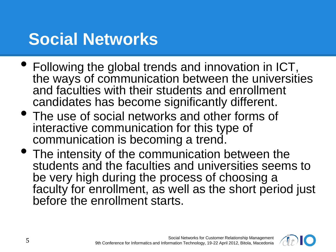# **Social Networks**

- Following the global trends and innovation in ICT, the ways of communication between the universities and faculties with their students and enrollment candidates has become significantly different.
- The use of social networks and other forms of interactive communication for this type of communication is becoming a trend.
- The intensity of the communication between the students and the faculties and universities seems to be very high during the process of choosing a faculty for enrollment, as well as the short period just before the enrollment starts.

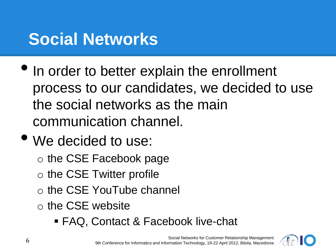# **Social Networks**

- In order to better explain the enrollment process to our candidates, we decided to use the social networks as the main communication channel.
- We decided to use:
	- o the CSE Facebook page
	- o the CSE Twitter profile
	- o the CSE YouTube channel
	- o the CSE website
		- FAQ, Contact & Facebook live-chat

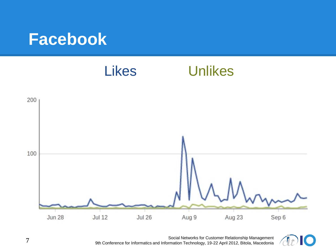#### **Facebook**



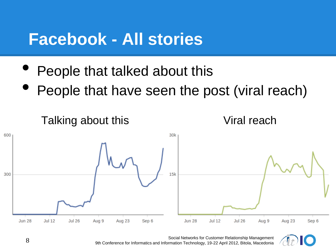#### **Facebook - All stories**

- People that talked about this
- People that have seen the post (viral reach)



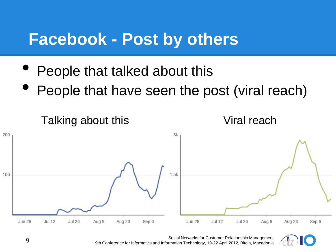#### **Facebook - Post by others**

- People that talked about this
- People that have seen the post (viral reach)



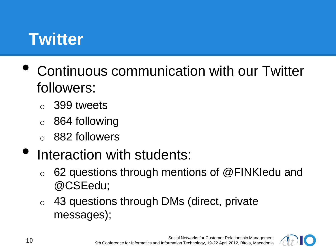## **Twitter**

- Continuous communication with our Twitter followers:
	- o 399 tweets
	- o 864 following
	- o 882 followers
- Interaction with students:
	- 62 questions through mentions of  $@FINK$ ledu and @CSEedu;
	- $\circ$  43 questions through DMs (direct, private messages);

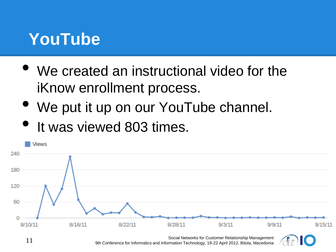### **YouTube**

- We created an instructional video for the iKnow enrollment process.
- We put it up on our YouTube channel.
- It was viewed 803 times.



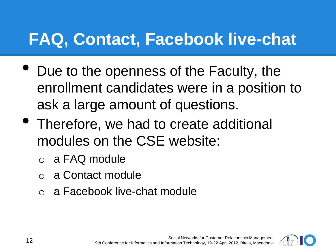# **FAQ, Contact, Facebook live-chat**

- Due to the openness of the Faculty, the enrollment candidates were in a position to ask a large amount of questions.
- Therefore, we had to create additional modules on the CSE website:
	- o a FAQ module
	- o a Contact module
	- o a Facebook live-chat module

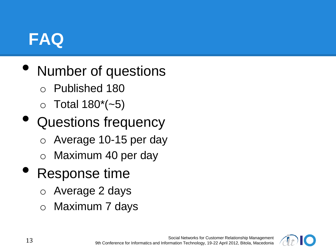### **FAQ**

- Number of questions
	- o Published 180
	- $\circ$  Total 180 $^{*}$ (~5)
- Questions frequency
	- o Average 10-15 per day
	- o Maximum 40 per day
- Response time
	- o Average 2 days
	- o Maximum 7 days

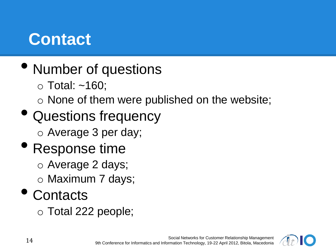# **Contact**

- Number of questions
	- $\circ$  Total: ~160;
	- o None of them were published on the website;
- Questions frequency
	- o Average 3 per day;
- Response time
	- o Average 2 days;
	- o Maximum 7 days;

#### • Contacts

o Total 222 people;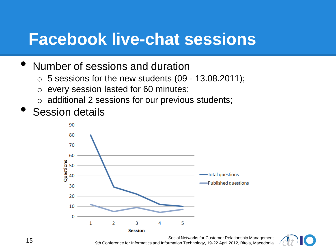#### **Facebook live-chat sessions**

#### • Number of sessions and duration

- $\circ$  5 sessions for the new students (09 13.08.2011);
- o every session lasted for 60 minutes;
- $\circ$  additional 2 sessions for our previous students;
- **Session details**



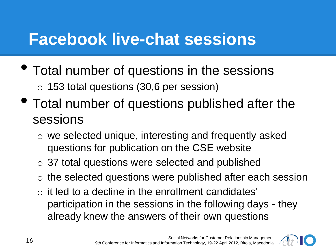#### **Facebook live-chat sessions**

- Total number of questions in the sessions
	- o 153 total questions (30,6 per session)
- Total number of questions published after the sessions
	- o we selected unique, interesting and frequently asked questions for publication on the CSE website
	- o 37 total questions were selected and published
	- o the selected questions were published after each session
	- $\circ$  it led to a decline in the enrollment candidates' participation in the sessions in the following days - they already knew the answers of their own questions

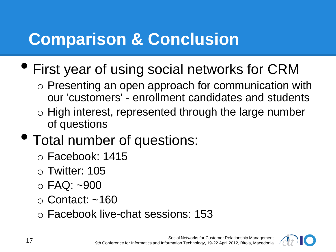# **Comparison & Conclusion**

- First year of using social networks for CRM
	- o Presenting an open approach for communication with our 'customers' - enrollment candidates and students
	- o High interest, represented through the large number of questions
- Total number of questions:
	- o Facebook: 1415
	- o Twitter: 105
	- o FAQ: ~900
	- o Contact: ~160
	- o Facebook live-chat sessions: 153

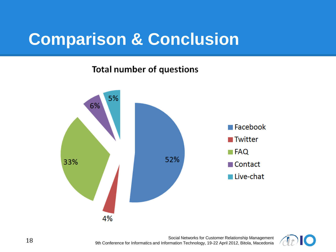## **Comparison & Conclusion**

#### **Total number of questions**



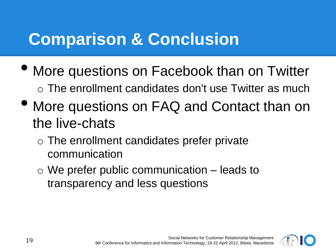# **Comparison & Conclusion**

- More questions on Facebook than on Twitter  $\circ$  The enrollment candidates don't use Twitter as much
- More questions on FAQ and Contact than on the live-chats
	- o The enrollment candidates prefer private communication
	- $\circ$  We prefer public communication  $-$  leads to transparency and less questions

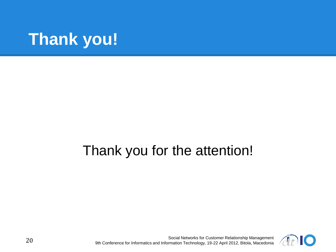

#### Thank you for the attention!